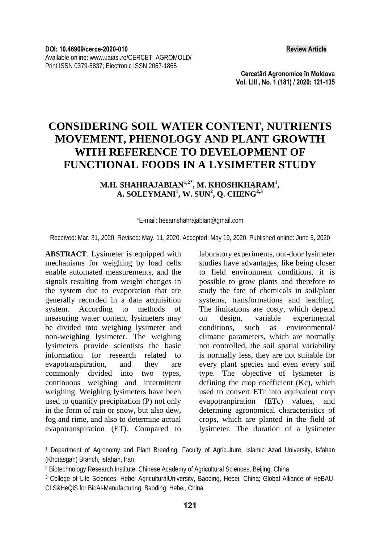**Cercetări Agronomice în Moldova Vol. LIII , No. 1 (181) / 2020: 121-135** 

# **CONSIDERING SOIL WATER CONTENT, NUTRIENTS MOVEMENT, PHENOLOGY AND PLANT GROWTH WITH REFERENCE TO DEVELOPMENT OF FUNCTIONAL FOODS IN A LYSIMETER STUDY**

#### **M.H. SHAHRAJABIAN1,2\*, M. KHOSHKHARAM1 , A. SOLEYMANI<sup>1</sup> , W. SUN<sup>2</sup> , Q. CHENG2,3**

\*E-mail: hesamshahrajabian@gmail.com

Received: Mar. 31, 2020. Revised: May, 11, 2020. Accepted: May 19, 2020. Published online: June 5, 2020

**ABSTRACT**. Lysimeter is equipped with mechanisms for weighing by load cells enable automated measurements, and the signals resulting from weight changes in the system due to evaporation that are generally recorded in a data acquisition system. According to methods of measuring water content, lysimeters may be divided into weighing lysimeter and non-weighing lysimeter. The weighing lysimeters provide scientists the basic information for research related to evapotranspiration, and they are commonly divided into two types, continuous weighing and intermittent weighing. Weighing lysimeters have been used to quantify precipitation (P) not only in the form of rain or snow, but also dew, fog and rime, and also to determine actual evapotranspiration (ET). Compared to

 $\overline{\phantom{a}}$ 

laboratory experiments, out-door lysimeter studies have advantages, like being closer to field environment conditions, it is possible to grow plants and therefore to study the fate of chemicals in soil/plant systems, transformations and leaching. The limitations are costy, which depend on design, variable experimental conditions, such as environmental/ climatic parameters, which are normally not controlled, the soil spatial variability is normally less, they are not suitable for every plant species and even every soil type. The objective of lysimeter is defining the crop coefficient (Kc), which used to convert ETr into equivalent crop evapotranpiration (ETc) values, and determing agronomical characteristics of crops, which are planted in the field of lysimeter. The duration of a lysimeter

<sup>1</sup> Department of Agronomy and Plant Breeding, Faculty of Agriculture, Islamic Azad University, Isfahan (Khorasgan) Branch, Isfahan, Iran

<sup>2</sup> Biotechnology Research Institute, Chinese Academy of Agricultural Sciences, Beijing, China

<sup>3</sup> College of Life Sciences, Hebei AgriculturalUniversity, Baoding, Hebei, China; Global Alliance of HeBAU-CLS&HeQiS for BioAl-Manufacturing, Baoding, Hebei, China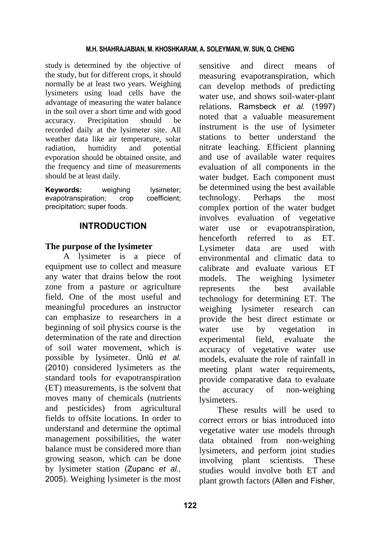study is determined by the objective of the study, but for different crops, it should normally be at least two years. Weighing lysimeters using load cells have the advantage of measuring the water balance in the soil over a short time and with good accuracy. Precipitation should be recorded daily at the lysimeter site. All weather data like air temperature, solar radiation, humidity and potential evporation should be obtained onsite, and the frequency and time of measurements should be at least daily.

**Keywords:** weighing lysimeter: evapotranspiration; crop coefficient; precipitation; super foods.

# **INTRODUCTION**

#### **The purpose of the lysimeter**

A lysimeter is a piece of equipment use to collect and measure any water that drains below the root zone from a pasture or agriculture field. One of the most useful and meaningful procedures an instructor can emphasize to researchers in a beginning of soil physics course is the determination of the rate and direction of soil water movement, which is possible by lysimeter. Ünlü *et al.* (2010) considered lysimeters as the standard tools for evapotranspiration (ET) measurements, is the solvent that moves many of chemicals (nutrients and pesticides) from agricultural fields to offsite locations. In order to understand and determine the optimal management possibilities, the water balance must be considered more than growing season, which can be done by lysimeter station (Zupanc *et al.,* 2005). Weighing lysimeter is the most sensitive and direct means of measuring evapotranspiration, which can develop methods of predicting water use, and shows soil-water-plant relations. Ramsbeck *et al.* (1997) noted that a valuable measurement instrument is the use of lysimeter stations to better understand the nitrate leaching. Efficient planning and use of available water requires evaluation of all components in the water budget. Each component must be determined using the best available technology. Perhaps the most complex portion of the water budget involves evaluation of vegetative water use or evapotranspiration, henceforth referred to as ET. Lysimeter data are used with environmental and climatic data to calibrate and evaluate various ET models. The weighing lysimeter represents the best available technology for determining ET. The weighing lysimeter research can provide the best direct estimate or water use by vegetation in experimental field, evaluate the accuracy of vegetative water use models, evaluate the role of rainfall in meeting plant water requirements, provide comparative data to evaluate the accuracy of non-weighing lysimeters.

These results will be used to correct errors or bias introduced into vegetative water use models through data obtained from non-weighing lysimeters, and perform joint studies involving plant scientists. These studies would involve both ET and plant growth factors (Allen and Fisher,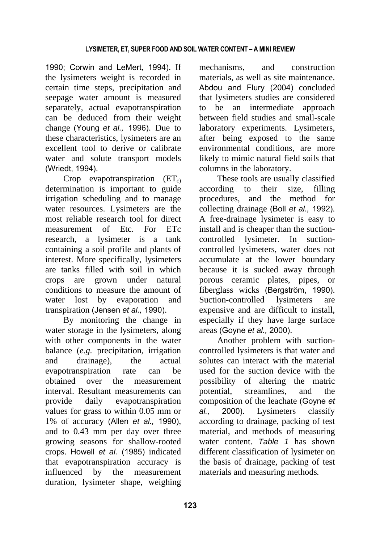1990; Corwin and LeMert, 1994). If the lysimeters weight is recorded in certain time steps, precipitation and seepage water amount is measured separately, actual evapotranspiration can be deduced from their weight change (Young *et al.,* 1996). Due to these characteristics, lysimeters are an excellent tool to derive or calibrate water and solute transport models (Wriedt, 1994).

Crop evapotranspiration  $(ET<sub>c</sub>)$ determination is important to guide irrigation scheduling and to manage water resources. Lysimeters are the most reliable research tool for direct measurement of Etc. For ETc research, a lysimeter is a tank containing a soil profile and plants of interest. More specifically, lysimeters are tanks filled with soil in which crops are grown under natural conditions to measure the amount of water lost by evaporation and transpiration (Jensen *et al.,* 1990).

By monitoring the change in water storage in the lysimeters, along with other components in the water balance (*e.g.* precipitation, irrigation and drainage), the actual evapotranspiration rate can be obtained over the measurement interval. Resultant measurements can provide daily evapotranspiration values for grass to within 0.05 mm or 1% of accuracy (Allen *et al.,* 1990), and to 0.43 mm per day over three growing seasons for shallow-rooted crops. Howell *et al.* (1985) indicated that evapotranspiration accuracy is influenced by the measurement duration, lysimeter shape, weighing mechanisms, and construction materials, as well as site maintenance. Abdou and Flury (2004) concluded that lysimeters studies are considered to be an intermediate approach between field studies and small-scale laboratory experiments. Lysimeters, after being exposed to the same environmental conditions, are more likely to mimic natural field soils that columns in the laboratory.

These tools are usually classified according to their size, filling procedures, and the method for collecting drainage (Boll *et al.,* 1992). A free-drainage lysimeter is easy to install and is cheaper than the suctioncontrolled lysimeter. In suctioncontrolled lysimeters, water does not accumulate at the lower boundary because it is sucked away through porous ceramic plates, pipes, or fiberglass wicks (Bergström, 1990). Suction-controlled lysimeters are expensive and are difficult to install, especially if they have large surface areas (Goyne *et al.,* 2000).

Another problem with suctioncontrolled lysimeters is that water and solutes can interact with the material used for the suction device with the possibility of altering the matric potential, streamlines, and the composition of the leachate (Goyne *et al.,* 2000). Lysimeters classify according to drainage, packing of test material, and methods of measuring water content. *Table 1* has shown different classification of lysimeter on the basis of drainage, packing of test materials and measuring methods*.*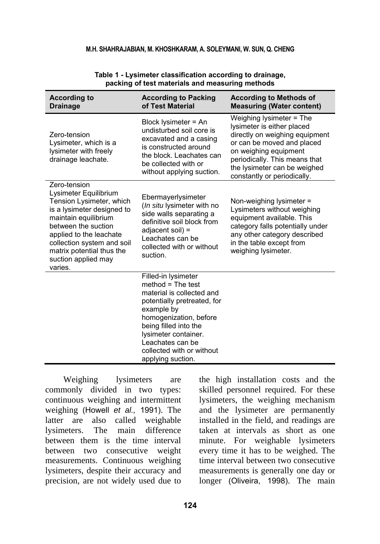#### **M.H. SHAHRAJABIAN, M. KHOSHKARAM, A. SOLEYMANI, W. SUN, Q. CHENG**

| <b>According to</b><br><b>Drainage</b>                                                                                                                                                                                                                                 | <b>According to Packing</b><br>of Test Material                                                                                                                                                                                                                       | <b>According to Methods of</b><br><b>Measuring (Water content)</b>                                                                                                                                                                              |
|------------------------------------------------------------------------------------------------------------------------------------------------------------------------------------------------------------------------------------------------------------------------|-----------------------------------------------------------------------------------------------------------------------------------------------------------------------------------------------------------------------------------------------------------------------|-------------------------------------------------------------------------------------------------------------------------------------------------------------------------------------------------------------------------------------------------|
| Zero-tension<br>Lysimeter, which is a<br>lysimeter with freely<br>drainage leachate.                                                                                                                                                                                   | Block lysimeter = An<br>undisturbed soil core is<br>excavated and a casing<br>is constructed around<br>the block. Leachates can<br>be collected with or<br>without applying suction.                                                                                  | Weighing lysimeter = The<br>lysimeter is either placed<br>directly on weighing equipment<br>or can be moved and placed<br>on weighing equipment<br>periodically. This means that<br>the lysimeter can be weighed<br>constantly or periodically. |
| Zero-tension<br>Lysimeter Equilibrium<br>Tension Lysimeter, which<br>is a lysimeter designed to<br>maintain equilibrium<br>between the suction<br>applied to the leachate<br>collection system and soil<br>matrix potential thus the<br>suction applied may<br>varies. | Ebermayerlysimeter<br>(In situ lysimeter with no<br>side walls separating a<br>definitive soil block from<br>adjacent soil) =<br>Leachates can be<br>collected with or without<br>suction.                                                                            | Non-weighing lysimeter =<br>Lysimeters without weighing<br>equipment available. This<br>category falls potentially under<br>any other category described<br>in the table except from<br>weighing lysimeter.                                     |
|                                                                                                                                                                                                                                                                        | Filled-in lysimeter<br>$method = The test$<br>material is collected and<br>potentially pretreated, for<br>example by<br>homogenization, before<br>being filled into the<br>lysimeter container.<br>Leachates can be<br>collected with or without<br>applying suction. |                                                                                                                                                                                                                                                 |

#### **Table 1 - Lysimeter classification according to drainage, packing of test materials and measuring methods**

Weighing lysimeters are commonly divided in two types: continuous weighing and intermittent weighing (Howell *et al.,* 1991). The latter are also called weighable lysimeters. The main difference between them is the time interval between two consecutive weight measurements. Continuous weighing lysimeters, despite their accuracy and precision, are not widely used due to

the high installation costs and the skilled personnel required. For these lysimeters, the weighing mechanism and the lysimeter are permanently installed in the field, and readings are taken at intervals as short as one minute. For weighable lysimeters every time it has to be weighed. The time interval between two consecutive measurements is generally one day or longer (Oliveira, 1998). The main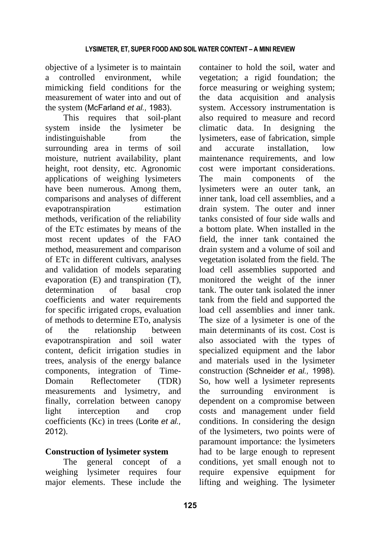objective of a lysimeter is to maintain a controlled environment, while mimicking field conditions for the measurement of water into and out of the system (McFarland *et al.,* 1983).

This requires that soil-plant system inside the lysimeter be indistinguishable from the surrounding area in terms of soil moisture, nutrient availability, plant height, root density, etc. Agronomic applications of weighing lysimeters have been numerous. Among them, comparisons and analyses of different evapotranspiration estimation methods, verification of the reliability of the ETc estimates by means of the most recent updates of the FAO method, measurement and comparison of ETc in different cultivars, analyses and validation of models separating evaporation (E) and transpiration (T), determination of basal crop coefficients and water requirements for specific irrigated crops, evaluation of methods to determine ETo, analysis of the relationship between evapotranspiration and soil water content, deficit irrigation studies in trees, analysis of the energy balance components, integration of Time-Domain Reflectometer (TDR) measurements and lysimetry, and finally, correlation between canopy light interception and crop coefficients (Kc) in trees (Lorite *et al.,* 2012).

# **Construction of lysimeter system**

The general concept of a weighing lysimeter requires four major elements. These include the

container to hold the soil, water and vegetation; a rigid foundation; the force measuring or weighing system; the data acquisition and analysis system. Accessory instrumentation is also required to measure and record climatic data. In designing the lysimeters, ease of fabrication, simple and accurate installation, low maintenance requirements, and low cost were important considerations. The main components of the lysimeters were an outer tank, an inner tank, load cell assemblies, and a drain system. The outer and inner tanks consisted of four side walls and a bottom plate. When installed in the field, the inner tank contained the drain system and a volume of soil and vegetation isolated from the field. The load cell assemblies supported and monitored the weight of the inner tank. The outer tank isolated the inner tank from the field and supported the load cell assemblies and inner tank. The size of a lysimeter is one of the main determinants of its cost. Cost is also associated with the types of specialized equipment and the labor and materials used in the lysimeter construction (Schneider *et al.,* 1998). So, how well a lysimeter represents the surrounding environment is dependent on a compromise between costs and management under field conditions. In considering the design of the lysimeters, two points were of paramount importance: the lysimeters had to be large enough to represent conditions, yet small enough not to require expensive equipment for lifting and weighing. The lysimeter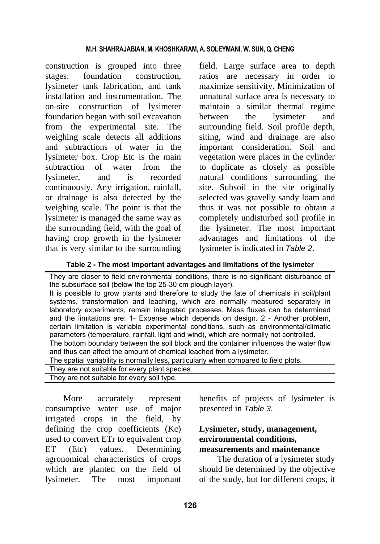construction is grouped into three stages: foundation construction, lysimeter tank fabrication, and tank installation and instrumentation. The on-site construction of lysimeter foundation began with soil excavation from the experimental site. The weighing scale detects all additions and subtractions of water in the lysimeter box. Crop Etc is the main subtraction of water from the lysimeter, and is recorded continuously. Any irrigation, rainfall, or drainage is also detected by the weighing scale. The point is that the lysimeter is managed the same way as the surrounding field, with the goal of having crop growth in the lysimeter that is very similar to the surrounding field. Large surface area to depth ratios are necessary in order to maximize sensitivity. Minimization of unnatural surface area is necessary to maintain a similar thermal regime between the lysimeter and surrounding field. Soil profile depth, siting, wind and drainage are also important consideration. Soil and vegetation were places in the cylinder to duplicate as closely as possible natural conditions surrounding the site. Subsoil in the site originally selected was gravelly sandy loam and thus it was not possible to obtain a completely undisturbed soil profile in the lysimeter. The most important advantages and limitations of the lysimeter is indicated in *Table 2*.

**Table 2 - The most important advantages and limitations of the lysimeter** 

| They are closer to field environmental conditions, there is no significant disturbance of<br>the subsurface soil (below the top 25-30 cm plough layer).                                                                                                                                                                                                                                                                                                                                                                                    |
|--------------------------------------------------------------------------------------------------------------------------------------------------------------------------------------------------------------------------------------------------------------------------------------------------------------------------------------------------------------------------------------------------------------------------------------------------------------------------------------------------------------------------------------------|
| It is possible to grow plants and therefore to study the fate of chemicals in soil/plant<br>systems, transformation and leaching, which are normally measured separately in<br>laboratory experiments, remain integrated processes. Mass fluxes can be determined<br>and the limitations are: 1- Expense which depends on design. 2 - Another problem,<br>certain limitation is variable experimental conditions, such as environmental/climatic<br>parameters (temperature, rainfall, light and wind), which are normally not controlled. |
| The bottom boundary between the soil block and the container influences the water flow<br>and thus can affect the amount of chemical leached from a lysimeter.                                                                                                                                                                                                                                                                                                                                                                             |
| The spatial variability is normally less, particularly when compared to field plots.                                                                                                                                                                                                                                                                                                                                                                                                                                                       |
| They are not suitable for every plant species.                                                                                                                                                                                                                                                                                                                                                                                                                                                                                             |
| They are not suitable for every soil type.                                                                                                                                                                                                                                                                                                                                                                                                                                                                                                 |

More accurately represent consumptive water use of major irrigated crops in the field, by defining the crop coefficients (Kc) used to convert ETr to equivalent crop ET (Etc) values. Determining agronomical characteristics of crops which are planted on the field of lysimeter. The most important

benefits of projects of lysimeter is presented in *Table 3*.

### **Lysimeter, study, management, environmental conditions, measurements and maintenance**

The duration of a lysimeter study should be determined by the objective of the study, but for different crops, it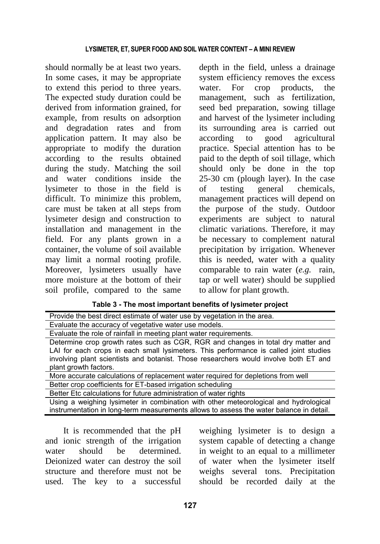should normally be at least two years. In some cases, it may be appropriate to extend this period to three years. The expected study duration could be derived from information grained, for example, from results on adsorption and degradation rates and from application pattern. It may also be appropriate to modify the duration according to the results obtained during the study. Matching the soil and water conditions inside the lysimeter to those in the field is difficult. To minimize this problem, care must be taken at all steps from lysimeter design and construction to installation and management in the field. For any plants grown in a container, the volume of soil available may limit a normal rooting profile. Moreover, lysimeters usually have more moisture at the bottom of their soil profile, compared to the same

depth in the field, unless a drainage system efficiency removes the excess water. For crop products, the management, such as fertilization, seed bed preparation, sowing tillage and harvest of the lysimeter including its surrounding area is carried out according to good agricultural practice. Special attention has to be paid to the depth of soil tillage, which should only be done in the top 25-30 cm (plough layer). In the case of testing general chemicals, management practices will depend on the purpose of the study. Outdoor experiments are subject to natural climatic variations. Therefore, it may be necessary to complement natural precipitation by irrigation. Whenever this is needed, water with a quality comparable to rain water (*e.g.* rain, tap or well water) should be supplied to allow for plant growth.

| Provide the best direct estimate of water use by vegetation in the area.                                                                                                                                                                                                                   |  |
|--------------------------------------------------------------------------------------------------------------------------------------------------------------------------------------------------------------------------------------------------------------------------------------------|--|
| Evaluate the accuracy of vegetative water use models.                                                                                                                                                                                                                                      |  |
| Evaluate the role of rainfall in meeting plant water requirements.                                                                                                                                                                                                                         |  |
| Determine crop growth rates such as CGR, RGR and changes in total dry matter and<br>LAI for each crops in each small lysimeters. This performance is called joint studies<br>involving plant scientists and botanist. Those researchers would involve both ET and<br>plant growth factors. |  |
| More accurate calculations of replacement water required for depletions from well                                                                                                                                                                                                          |  |
| Better crop coefficients for ET-based irrigation scheduling                                                                                                                                                                                                                                |  |
| Better Etc calculations for future administration of water rights                                                                                                                                                                                                                          |  |
| Using a weighing lysimeter in combination with other meteorological and hydrological<br>instrumentation in long-term measurements allows to assess the water balance in detail.                                                                                                            |  |

**Table 3 - The most important benefits of lysimeter project** 

It is recommended that the pH and ionic strength of the irrigation water should be determined. Deionized water can destroy the soil structure and therefore must not be used. The key to a successful

weighing lysimeter is to design a system capable of detecting a change in weight to an equal to a millimeter of water when the lysimeter itself weighs several tons. Precipitation should be recorded daily at the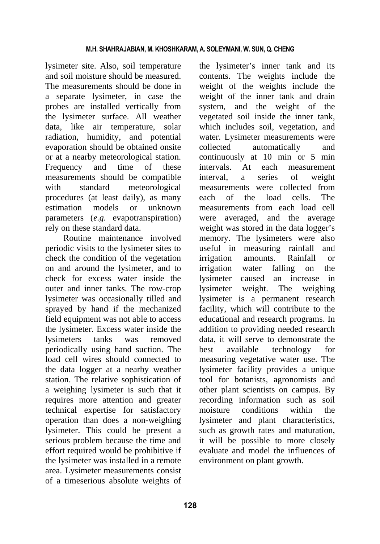lysimeter site. Also, soil temperature and soil moisture should be measured. The measurements should be done in a separate lysimeter, in case the probes are installed vertically from the lysimeter surface. All weather data, like air temperature, solar radiation, humidity, and potential evaporation should be obtained onsite or at a nearby meteorological station. Frequency and time of these measurements should be compatible with standard meteorological procedures (at least daily), as many estimation models or unknown parameters (*e.g.* evapotranspiration) rely on these standard data.

Routine maintenance involved periodic visits to the lysimeter sites to check the condition of the vegetation on and around the lysimeter, and to check for excess water inside the outer and inner tanks. The row-crop lysimeter was occasionally tilled and sprayed by hand if the mechanized field equipment was not able to access the lysimeter. Excess water inside the lysimeters tanks was removed periodically using hand suction. The load cell wires should connected to the data logger at a nearby weather station. The relative sophistication of a weighing lysimeter is such that it requires more attention and greater technical expertise for satisfactory operation than does a non-weighing lysimeter. This could be present a serious problem because the time and effort required would be prohibitive if the lysimeter was installed in a remote area. Lysimeter measurements consist of a timeserious absolute weights of the lysimeter's inner tank and its contents. The weights include the weight of the weights include the weight of the inner tank and drain system, and the weight of the vegetated soil inside the inner tank, which includes soil, vegetation, and water. Lysimeter measurements were collected automatically and continuously at 10 min or 5 min intervals. At each measurement interval, a series of weight measurements were collected from each of the load cells. The measurements from each load cell were averaged, and the average weight was stored in the data logger's memory. The lysimeters were also useful in measuring rainfall and irrigation amounts. Rainfall or irrigation water falling on the lysimeter caused an increase in lysimeter weight. The weighing lysimeter is a permanent research facility, which will contribute to the educational and research programs. In addition to providing needed research data, it will serve to demonstrate the best available technology for measuring vegetative water use. The lysimeter facility provides a unique tool for botanists, agronomists and other plant scientists on campus. By recording information such as soil moisture conditions within the lysimeter and plant characteristics, such as growth rates and maturation, it will be possible to more closely evaluate and model the influences of environment on plant growth.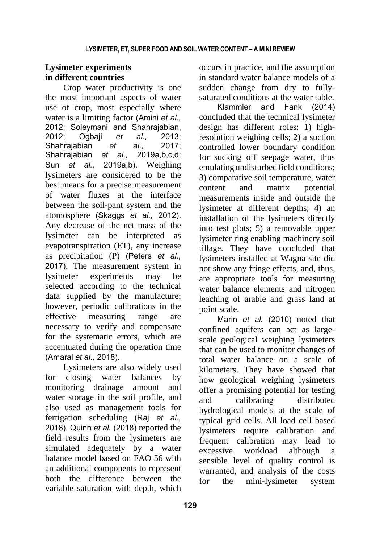# **Lysimeter experiments in different countries**

Crop water productivity is one the most important aspects of water use of crop, most especially where water is a limiting factor (Amini *et al.,* 2012; Soleymani and Shahrajabian, 2012; Ogbaji *et al.,* 2013; Shahrajabian *et al.,* 2017; Shahrajabian *et al.*, Sun *et al.,* 2019a,b). Weighing lysimeters are considered to be the best means for a precise measurement of water fluxes at the interface between the soil-pant system and the atomosphere (Skaggs *et al.,* 2012). Any decrease of the net mass of the lysimeter can be interpreted as evapotranspiration (ET), any increase as precipitation (P) (Peters *et al.,* 2017). The measurement system in lysimeter experiments may be selected according to the technical data supplied by the manufacture; however, periodic calibrations in the effective measuring range are necessary to verify and compensate for the systematic errors, which are accentuated during the operation time (Amaral *et al.,* 2018).

Lysimeters are also widely used for closing water balances by monitoring drainage amount and water storage in the soil profile, and also used as management tools for fertigation scheduling (Raj *et al.,* 2018). Quinn *et al.* (2018) reported the field results from the lysimeters are simulated adequately by a water balance model based on FAO 56 with an additional components to represent both the difference between the variable saturation with depth, which

occurs in practice, and the assumption in standard water balance models of a sudden change from dry to fullysaturated conditions at the water table.

Klammler and Fank (2014) concluded that the technical lysimeter design has different roles: 1) highresolution weighing cells; 2) a suction controlled lower boundary condition for sucking off seepage water, thus emulating undisturbed field conditions; 3) comparative soil temperature, water content and matrix potential measurements inside and outside the lysimeter at different depths; 4) an installation of the lysimeters directly into test plots; 5) a removable upper lysimeter ring enabling machinery soil tillage. They have concluded that lysimeters installed at Wagna site did not show any fringe effects, and, thus, are appropriate tools for measuring water balance elements and nitrogen leaching of arable and grass land at point scale.

Marin *et al.* (2010) noted that confined aquifers can act as largescale geological weighing lysimeters that can be used to monitor changes of total water balance on a scale of kilometers. They have showed that how geological weighing lysimeters offer a promising potential for testing and calibrating distributed hydrological models at the scale of typical grid cells. All load cell based lysimeters require calibration and frequent calibration may lead to excessive workload although a sensible level of quality control is warranted, and analysis of the costs for the mini-lysimeter system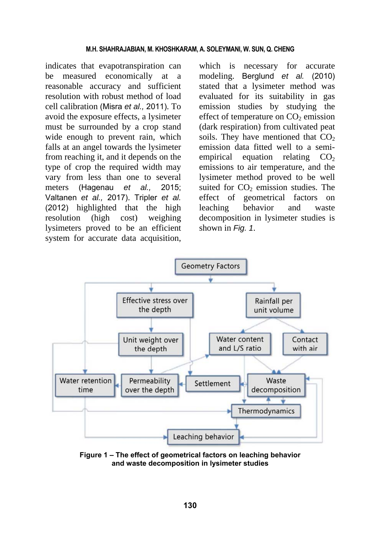indicates that evapotranspiration can be measured economically at a reasonable accuracy and sufficient resolution with robust method of load cell calibration (Misra *et al.,* 2011). To avoid the exposure effects, a lysimeter must be surrounded by a crop stand wide enough to prevent rain, which falls at an angel towards the lysimeter from reaching it, and it depends on the type of crop the required width may vary from less than one to several meters (Hagenau *et al.,* 2015; Valtanen *et al.,* 2017). Tripler *et al.* (2012) highlighted that the high resolution (high cost) weighing lysimeters proved to be an efficient system for accurate data acquisition,

which is necessary for accurate modeling. Berglund *et al.* (2010) stated that a lysimeter method was evaluated for its suitability in gas emission studies by studying the effect of temperature on  $CO<sub>2</sub>$  emission (dark respiration) from cultivated peat soils. They have mentioned that  $CO<sub>2</sub>$ emission data fitted well to a semiempirical equation relating  $CO<sub>2</sub>$ emissions to air temperature, and the lysimeter method proved to be well suited for  $CO<sub>2</sub>$  emission studies. The effect of geometrical factors on leaching behavior and waste decomposition in lysimeter studies is shown in *Fig. 1*.



**Figure 1 – The effect of geometrical factors on leaching behavior and waste decomposition in lysimeter studies**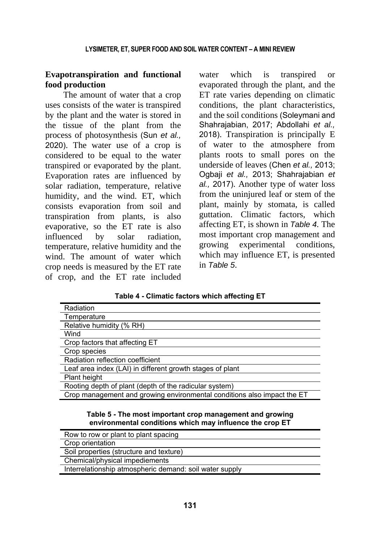### **Evapotranspiration and functional food production**

The amount of water that a crop uses consists of the water is transpired by the plant and the water is stored in the tissue of the plant from the process of photosynthesis (Sun *et al.,* 2020). The water use of a crop is considered to be equal to the water transpired or evaporated by the plant. Evaporation rates are influenced by solar radiation, temperature, relative humidity, and the wind. ET, which consists evaporation from soil and transpiration from plants, is also evaporative, so the ET rate is also influenced by solar radiation, temperature, relative humidity and the wind. The amount of water which crop needs is measured by the ET rate of crop, and the ET rate included

water which is transpired or evaporated through the plant, and the ET rate varies depending on climatic conditions, the plant characteristics, and the soil conditions (Soleymani and Shahrajabian, 2017; Abdollahi *et al.,* 2018). Transpiration is principally E of water to the atmosphere from plants roots to small pores on the underside of leaves (Chen *et al.,* 2013; Ogbaji *et al.,* 2013; Shahrajabian *et al.,* 2017). Another type of water loss from the uninjured leaf or stem of the plant, mainly by stomata, is called guttation. Climatic factors, which affecting ET, is shown in *Table 4.* The most important crop management and growing experimental conditions, which may influence ET, is presented in *Table 5*.

**Table 4 - Climatic factors which affecting ET** 

| Radiation                                                                                                            |  |
|----------------------------------------------------------------------------------------------------------------------|--|
| Temperature                                                                                                          |  |
| Relative humidity (% RH)                                                                                             |  |
| Wind                                                                                                                 |  |
| Crop factors that affecting ET                                                                                       |  |
| Crop species                                                                                                         |  |
| Radiation reflection coefficient                                                                                     |  |
| Leaf area index (LAI) in different growth stages of plant                                                            |  |
| Plant height                                                                                                         |  |
| Rooting depth of plant (depth of the radicular system)                                                               |  |
| Crop management and growing environmental conditions also impact the ET                                              |  |
| Table 5 - The most important crop management and growing<br>environmental conditions which may influence the crop ET |  |

| Row to row or plant to plant spacing                    |
|---------------------------------------------------------|
| Crop orientation                                        |
| Soil properties (structure and texture)                 |
| Chemical/physical impediements                          |
| Interrelationship atmospheric demand: soil water supply |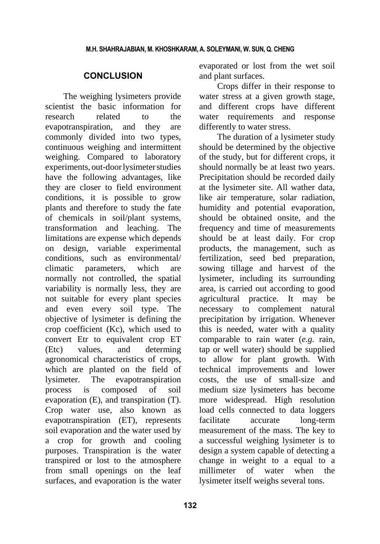## **CONCLUSION**

The weighing lysimeters provide scientist the basic information for research related to the evapotranspiration, and they are commonly divided into two types, continuous weighing and intermittent weighing. Compared to laboratory experiments, out-doorlysimeter studies have the following advantages, like they are closer to field environment conditions, it is possible to grow plants and therefore to study the fate of chemicals in soil/plant systems, transformation and leaching. The limitations are expense which depends on design, variable experimental conditions, such as environmental/ climatic parameters, which are normally not controlled, the spatial variability is normally less, they are not suitable for every plant species and even every soil type. The objective of lysimeter is defining the crop coefficient (Kc), which used to convert Etr to equivalent crop ET (Etc) values, and determing agronomical characteristics of crops, which are planted on the field of lysimeter. The evapotranspiration process is composed of soil evaporation (E), and transpiration (T). Crop water use, also known as evapotranspiration (ET), represents soil evaporation and the water used by a crop for growth and cooling purposes. Transpiration is the water transpired or lost to the atmosphere from small openings on the leaf surfaces, and evaporation is the water evaporated or lost from the wet soil and plant surfaces.

Crops differ in their response to water stress at a given growth stage, and different crops have different water requirements and response differently to water stress.

The duration of a lysimeter study should be determined by the objective of the study, but for different crops, it should normally be at least two years. Precipitation should be recorded daily at the lysimeter site. All wather data, like air temperature, solar radiation, humidity and potential evaporation, should be obtained onsite, and the frequency and time of measurements should be at least daily. For crop products, the management, such as fertilization, seed bed preparation, sowing tillage and harvest of the lysimeter, including its surrounding area, is carried out according to good agricultural practice. It may be necessary to complement natural precipitation by irrigation. Whenever this is needed, water with a quality comparable to rain water (*e.g.* rain, tap or well water) should be supplied to allow for plant growth. With technical improvements and lower costs, the use of small-size and medium size lysimeters has become more widespread. High resolution load cells connected to data loggers facilitate accurate long-term measurement of the mass. The key to a successful weighing lysimeter is to design a system capable of detecting a change in weight to a equal to a millimeter of water when the lysimeter itself weighs several tons.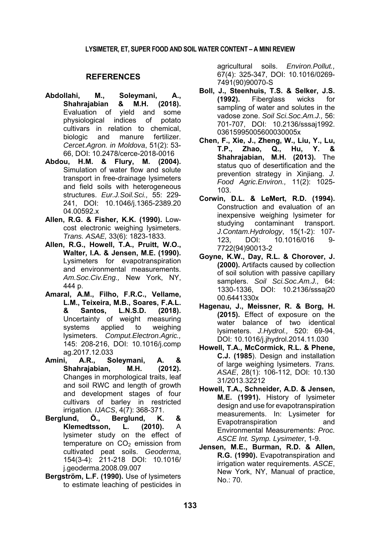#### **REFERENCES**

- **Abdollahi, M., Soleymani, A., Shahrajabian & M.H. (2018).**  Evaluation of yield and some physiological indices of potato cultivars in relation to chemical, biologic and manure fertilizer. *Cercet.Agron. in Moldova*, 51(2): 53- 66, DOI: 10.2478/cerce-2018-0016
- **Abdou, H.M. & Flury, M. (2004).** Simulation of water flow and solute transport in free-drainage lysimeters and field soils with heterogeneous structures. *Eur.J.Soil.Sci.,* 55: 229- 241, DOI: 10.1046/j.1365-2389.20 04.00592.x
- **Allen, R.G. & Fisher, K.K. (1990).** Lowcost electronic weighing lysimeters. *Trans. ASAE,* 33(6): 1823-1833.
- **Allen, R.G., Howell, T.A., Pruitt, W.O., Walter, I.A. & Jensen, M.E. (1990).** Lysimeters for evapotranspiration and environmental measurements. *Am.Soc.Civ.Eng.,* New York, NY, 444 p.
- **Amaral, A.M., Filho, F.R.C., Vellame, L.M., Teixeira, M.B., Soares, F.A.L. & Santos, L.N.S.D. (2018).** Uncertainty of weight measuring systems applied to weighing lysimeters. *Comput.Electron.Agric.,* 145: 208-216, DOI: 10.1016/j.comp ag.2017.12.033
- **Amini, A.R., Soleymani, A. & Shahrajabian, M.H. (2012).** Changes in morphological traits, leaf and soil RWC and length of growth and development stages of four cultivars of barley in restricted irrigation*. IJACS*, 4(7): 368-371.
- **Berglund, Ȫ., Berglund, K. & Klemedtsson, L. (2010).** A lysimeter study on the effect of temperature on  $CO<sub>2</sub>$  emission from cultivated peat soils. *Geoderma*, 154(3-4): 211-218 DOI: 10.1016/ j.geoderma.2008.09.007
- **Bergström, L.F. (1990).** Use of lysimeters to estimate leaching of pesticides in

agricultural soils. *Environ.Pollut.,* 67(4): 325-347, DOI: 10.1016/0269- 7491(90)90070-S

- **Boll, J., Steenhuis, T.S. & Selker, J.S. (1992).** Fiberglass wicks for sampling of water and solutes in the vadose zone. *Soil Sci.Soc.Am.J.,* 56: 701-707, DOI: 10.2136/sssaj1992. 03615995005600030005x
- **Chen, F., Xie, J., Zheng, W., Liu, Y., Lu, T.P., Zhao, Q., Hu, Y. & Shahrajabian, M.H. (2013).** The status quo of desertification and the prevention strategy in Xinjiang. *J. Food Agric.Environ.,* 11(2): 1025- 103.
- **Corwin, D.L. & LeMert, R.D. (1994).** Construction and evaluation of an inexpensive weighing lysimeter for studying contaminant transport. *J.Contam.Hydrology*, 15(1-2): 107- 123, DOI: 10.1016/016 9- 7722(94)90013-2
- **Goyne, K.W., Day, R.L. & Chorover, J. (2000).** Artifacts caused by collection of soil solution with passive capillary samplers. *Soil Sci.Soc.Am.J.,* 64: 1330-1336, DOI: 10.2136/sssaj20 00.6441330x
- **Hagenau, J., Meissner, R. & Borg, H. (2015).** Effect of exposure on the water balance of two identical lysimeters. *J.Hydrol.,* 520: 69-94, DOI: 10.1016/j.jhydrol.2014.11.030
- **Howell, T.A., McCormick, R.L. & Phene, C.J. (1985**). Design and installation of large weighing lysimeters. *Trans. ASAE*, 28(1): 106-112, DOI: 10.130 31/2013.32212
- **Howell, T.A., Schneider, A.D. & Jensen, M.E. (1991).** History of lysimeter design and use for evapotranspiration measurements. In: Lysimeter for Evapotranspiration and Environmental Measurements: *Proc. ASCE Int. Symp. Lysimeter*, 1-9.
- **Jensen, M.E., Burman, R.D. & Allen, R.G. (1990).** Evapotranspiration and irrigation water requirements. *ASCE*, New York, NY, Manual of practice, No.: 70.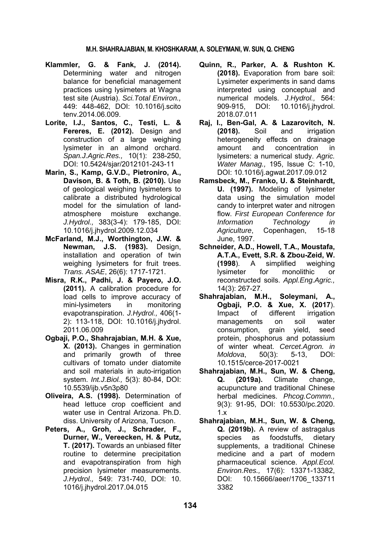#### **M.H. SHAHRAJABIAN, M. KHOSHKARAM, A. SOLEYMANI, W. SUN, Q. CHENG**

- **Klammler, G. & Fank, J. (2014).** Determining water and nitrogen balance for beneficial management practices using lysimeters at Wagna test site (Austria). *Sci.Total Environ.,* 449: 448-462, DOI: 10.1016/j.scito tenv.2014.06.009.
- **Lorite, I.J., Santos, C., Testi, L. & Fereres, E. (2012).** Design and construction of a large weighing lysimeter in an almond orchard. *Span.J.Agric.Res.,* 10(1): 238-250, DOI: 10.5424/sjar/2012101-243-11
- **Marin, S., Kamp, G.V.D., Pietroniro, A., Davison, B. & Toth, B. (2010).** Use of geological weighing lysimeters to calibrate a distributed hydrological model for the simulation of landatmosphere moisture exchange. *J.Hydrol.,* 383(3-4): 179-185, DOI: 10.1016/j.jhydrol.2009.12.034
- **McFarland, M.J., Worthington, J.W. & Newman, J.S. (1983).** Design, installation and operation of twin weighing lysimeters for fruit trees. *Trans. ASAE*, 26(6): 1717-1721.
- **Misra, R.K., Padhi, J. & Payero, J.O. (2011).** A calibration procedure for load cells to improve accuracy of<br>mini-lysimeters in monitoring mini-lysimeters in evapotranspiration. *J.Hydrol.,* 406(1- 2): 113-118, DOI: 10.1016/j.jhydrol. 2011.06.009
- **Ogbaji, P.O., Shahrajabian, M.H. & Xue, X. (2013).** Changes in germination and primarily growth of three cultivars of tomato under diatomite and soil materials in auto-irrigation system. *Int.J.Biol.,* 5(3): 80-84, DOI: 10.5539/ijb.v5n3p80
- **Oliveira, A.S. (1998).** Determination of head lettuce crop coefficient and water use in Central Arizona. Ph.D. diss. University of Arizona, Tucson.
- **Peters, A., Groh, J., Schrader, F., Durner, W., Vereecken, H. & Putz, T. (2017).** Towards an unbiased filter routine to determine precipitation and evapotranspiration from high precision lysimeter measurements. *J.Hydrol.,* 549: 731-740, DOI: 10. 1016/j.jhydrol.2017.04.015
- **Quinn, R., Parker, A. & Rushton K. (2018).** Evaporation from bare soil: Lysimeter experiments in sand dams interpreted using conceptual and numerical models. *J.Hydrol.,* 564: 909-915, DOI: 10.1016/j.jhydrol. 2018.07.011
- **Raj, I., Ben-Gal, A. & Lazarovitch, N. (2018).** Soil and irrigation heterogeneity effects on drainage amount and concentration in lysimeters: a numerical study. *Agric. Water Manag.,* 195, Issue C: 1-10, DOI: 10.1016/j.agwat.2017.09.012
- **Ramsbeck, M., Franko, U. & Steinhardt, U. (1997).** Modeling of lysimeter data using the simulation model candy to interpret water and nitrogen flow. *First European Conference for Information Technology in Agriculture*, Copenhagen, 15-18 June, 1997.
- **Schneider, A.D., Howell, T.A., Moustafa, A.T.A., Evett, S.R. & Zbou-Zeid, W. (1998**). A simplified weighing lysimeter for monolithic or reconstructed soils. *Appl.Eng.Agric.,* 14(3): 267-27.
- **Shahrajabian, M.H., Soleymani, A., Ogbaji, P.O. & Xue, X. (2017**). Impact of different irrigation managements on soil water consumption, grain yield, seed protein, phosphorus and potassium of winter wheat. *Cercet.Agron. in Moldova*, 50(3): 5-13, DOI: 10.1515/cerce-2017-0021
- **Shahrajabian, M.H., Sun, W. & Cheng, Q. (2019a).** Climate change, acupuncture and traditional Chinese herbal medicines. *Phcog.Commn.,* 9(3): 91-95, DOI: 10.5530/pc.2020. 1.x
- **Shahrajabian, M.H., Sun, W. & Cheng, Q. (2019b).** A review of astragalus species as foodstuffs, dietary supplements, a traditional Chinese medicine and a part of modern pharmaceutical science. *Appl.Ecol. Environ.Res.,* 17(6): 13371-13382, DOI: 10.15666/aeer/1706\_133711 3382